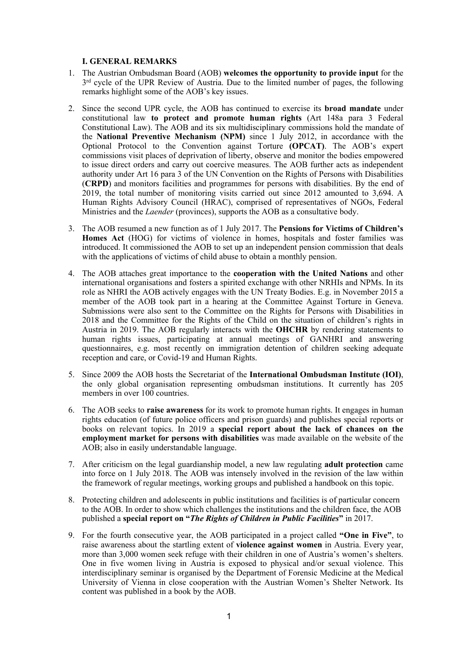## **I. GENERAL REMARKS**

- 1. The Austrian Ombudsman Board (AOB) **welcomes the opportunity to provide input** for the  $3<sup>rd</sup>$  cycle of the UPR Review of Austria. Due to the limited number of pages, the following remarks highlight some of the AOB'<sup>s</sup> key issues.
- 2. Since the second UPR cycle, the AOB has continued to exercise its **broad mandate** under constitutional law **to protect and promote human rights** (Art 148a para 3 Federal Constitutional Law). The AOB and its six multidisciplinary commissions hold the mandate of the **National Preventive Mechanism (NPM)** since 1 July 2012, in accordance with the Optional Protocol to the Convention against Torture **(OPCAT)**. The AOB'<sup>s</sup> exper<sup>t</sup> commissions visit places of deprivation of liberty, observe and monitor the bodies empowered to issue direct orders and carry out coercive measures. The AOB further acts as independent authority under Art 16 para 3 of the UN Convention on the Rights of Persons with Disabilities (**CRPD**) and monitors facilities and programmes for persons with disabilities. By the end of 2019, the total number of monitoring visits carried out since 2012 amounted to 3,694. A Human Rights Advisory Council (HRAC), comprised of representatives of NGOs, Federal Ministries and the *Laender* (provinces), supports the AOB as <sup>a</sup> consultative body.
- 3. The AOB resumed <sup>a</sup> new function as of 1 July 2017. The **Pensions for Victims of Children'<sup>s</sup> Homes Act** (HOG) for victims of violence in homes, hospitals and foster families was introduced. It commissioned the AOB to set up an independent pension commission that deals with the applications of victims of child abuse to obtain <sup>a</sup> monthly pension.
- 4. The AOB attaches grea<sup>t</sup> importance to the **cooperation with the United Nations** and other international organisations and fosters <sup>a</sup> spirited exchange with other NRHIs and NPMs. In its role as NHRI the AOB actively engages with the UN Treaty Bodies. E.g. in November 2015 <sup>a</sup> member of the AOB took par<sup>t</sup> in <sup>a</sup> hearing at the Committee Against Torture in Geneva. Submissions were also sent to the Committee on the Rights for Persons with Disabilities in 2018 and the Committee for the Rights of the Child on the situation of children'<sup>s</sup> rights in Austria in 2019. The AOB regularly interacts with the **OHCHR** by rendering statements to human rights issues, participating at annual meetings of GANHRI and answering questionnaires, e.g. most recently on immigration detention of children seeking adequate reception and care, or Covid-19 and Human Rights.
- 5. Since 2009 the AOB hosts the Secretariat of the **International Ombudsman Institute (IOI)**, the only global organisation representing ombudsman institutions. It currently has 205 members in over 100 countries.
- 6. The AOB seeks to **raise awareness** for its work to promote human rights. It engages in human rights education (of future police officers and prison guards) and publishes special reports or books on relevant topics. In 2019 <sup>a</sup> **special repor<sup>t</sup> about the lack of chances on the employment market for persons with disabilities** was made available on the website of the AOB; also in easily understandable language.
- 7. After criticism on the legal guardianship model, <sup>a</sup> new law regulating **adult protection** came into force on 1 July 2018. The AOB was intensely involved in the revision of the law within the framework of regular meetings, working groups and published <sup>a</sup> handbook on this topic.
- 8. Protecting children and adolescents in public institutions and facilities is of particular concern to the AOB. In order to show which challenges the institutions and the children face, the AOB published <sup>a</sup> **special repor<sup>t</sup> on "***The Rights of Children in Public Facilities***"** in 2017.
- 9. For the fourth consecutive year, the AOB participated in <sup>a</sup> project called **"One in Five"**, to raise awareness about the startling extent of **violence against women** in Austria. Every year, more than 3,000 women seek refuge with their children in one of Austria'<sup>s</sup> women'<sup>s</sup> shelters. One in five women living in Austria is exposed to physical and/or sexual violence. This interdisciplinary seminar is organised by the Department of Forensic Medicine at the Medical University of Vienna in close cooperation with the Austrian Women'<sup>s</sup> Shelter Network. Its content was published in <sup>a</sup> book by the AOB.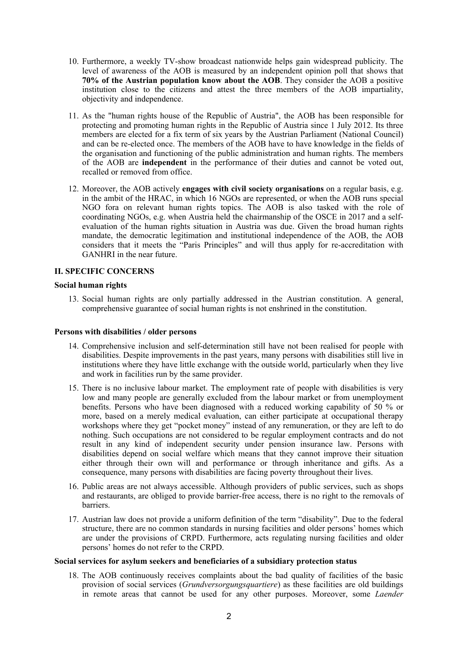- 10. Furthermore, <sup>a</sup> weekly TV-show broadcast nationwide helps gain widespread publicity. The level of awareness of the AOB is measured by an independent opinion poll that shows that **70% of the Austrian population know about the AOB**. They consider the AOB <sup>a</sup> positive institution close to the citizens and attest the three members of the AOB impartiality, objectivity and independence.
- 11. As the "human rights house of the Republic of Austria", the AOB has been responsible for protecting and promoting human rights in the Republic of Austria since 1 July 2012. Its three members are elected for <sup>a</sup> fix term of six years by the Austrian Parliament (National Council) and can be re-elected once. The members of the AOB have to have knowledge in the fields of the organisation and functioning of the public administration and human rights. The members of the AOB are **independent** in the performance of their duties and cannot be voted out, recalled or removed from office.
- 12. Moreover, the AOB actively **engages with civil society organisations** on <sup>a</sup> regular basis, e.g. in the ambit of the HRAC, in which 16 NGOs are represented, or when the AOB runs special NGO fora on relevant human rights topics. The AOB is also tasked with the role of coordinating NGOs, e.g. when Austria held the chairmanship of the OSCE in 2017 and <sup>a</sup> selfevaluation of the human rights situation in Austria was due. Given the broad human rights mandate, the democratic legitimation and institutional independence of the AOB, the AOB considers that it meets the "Paris Principles" and will thus apply for re-accreditation with GANHRI in the near future.

### **II. SPECIFIC CONCERNS**

#### **Social human rights**

13. Social human rights are only partially addressed in the Austrian constitution. A general, comprehensive guarantee of social human rights is not enshrined in the constitution.

#### **Persons with disabilities / older persons**

- 14. Comprehensive inclusion and self-determination still have not been realised for people with disabilities. Despite improvements in the pas<sup>t</sup> years, many persons with disabilities still live in institutions where they have little exchange with the outside world, particularly when they live and work in facilities run by the same provider.
- 15. There is no inclusive labour market. The employment rate of people with disabilities is very low and many people are generally excluded from the labour market or from unemployment benefits. Persons who have been diagnosed with <sup>a</sup> reduced working capability of 50 % or more, based on <sup>a</sup> merely medical evaluation, can either participate at occupational therapy workshops where they ge<sup>t</sup> "pocket money" instead of any remuneration, or they are left to do nothing. Such occupations are not considered to be regular employment contracts and do not result in any kind of independent security under pension insurance law. Persons with disabilities depend on social welfare which means that they cannot improve their situation either through their own will and performance or through inheritance and gifts. As <sup>a</sup> consequence, many persons with disabilities are facing poverty throughout their lives.
- 16. Public areas are not always accessible. Although providers of public services, such as shops and restaurants, are obliged to provide barrier-free access, there is no right to the removals of barriers.
- 17. Austrian law does not provide <sup>a</sup> uniform definition of the term "disability". Due to the federal structure, there are no common standards in nursing facilities and older persons' homes which are under the provisions of CRPD. Furthermore, acts regulating nursing facilities and older persons' homes do not refer to the CRPD.

#### **Social services for asylum seekers and beneficiaries of <sup>a</sup> subsidiary protection status**

18. The AOB continuously receives complaints about the bad quality of facilities of the basic provision of social services (*Grundversorgungsquartiere*) as these facilities are old buildings in remote areas that cannot be used for any other purposes. Moreover, some *Laender*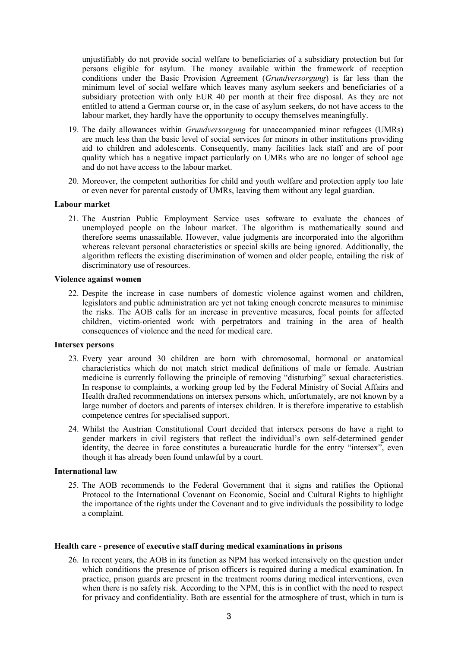unjustifiably do not provide social welfare to beneficiaries of <sup>a</sup> subsidiary protection but for persons eligible for asylum. The money available within the framework of reception conditions under the Basic Provision Agreement (*Grundversorgung*) is far less than the minimum level of social welfare which leaves many asylum seekers and beneficiaries of <sup>a</sup> subsidiary protection with only EUR 40 per month at their free disposal. As they are not entitled to attend <sup>a</sup> German course or, in the case of asylum seekers, do not have access to the labour market, they hardly have the opportunity to occupy themselves meaningfully.

- 19. The daily allowances within *Grundversorgung* for unaccompanied minor refugees (UMRs) are much less than the basic level of social services for minors in other institutions providing aid to children and adolescents. Consequently, many facilities lack staff and are of poor quality which has <sup>a</sup> negative impact particularly on UMRs who are no longer of school age and do not have access to the labour market.
- 20. Moreover, the competent authorities for child and youth welfare and protection apply too late or even never for parental custody of UMRs, leaving them without any legal guardian.

## **Labour market**

21. The Austrian Public Employment Service uses software to evaluate the chances of unemployed people on the labour market. The algorithm is mathematically sound and therefore seems unassailable. However, value judgments are incorporated into the algorithm whereas relevant personal characteristics or special skills are being ignored. Additionally, the algorithm reflects the existing discrimination of women and older people, entailing the risk of discriminatory use of resources.

#### **Violence against women**

22. Despite the increase in case numbers of domestic violence against women and children, legislators and public administration are ye<sup>t</sup> not taking enough concrete measures to minimise the risks. The AOB calls for an increase in preventive measures, focal points for affected children, victim-oriented work with perpetrators and training in the area of health consequences of violence and the need for medical care.

#### **Intersex persons**

- 23. Every year around 30 children are born with chromosomal, hormonal or anatomical characteristics which do not match strict medical definitions of male or female. Austrian medicine is currently following the principle of removing "disturbing" sexual characteristics. In response to complaints, <sup>a</sup> working group led by the Federal Ministry of Social Affairs and Health drafted recommendations on intersex persons which, unfortunately, are not known by <sup>a</sup> large number of doctors and parents of intersex children. It is therefore imperative to establish competence centres for specialised support.
- 24. Whilst the Austrian Constitutional Court decided that intersex persons do have <sup>a</sup> right to gender markers in civil registers that reflect the individual'<sup>s</sup> own self-determined gender identity, the decree in force constitutes <sup>a</sup> bureaucratic hurdle for the entry "intersex", even though it has already been found unlawful by <sup>a</sup> court.

# **International law**

25. The AOB recommends to the Federal Government that it signs and ratifies the Optional Protocol to the International Covenant on Economic, Social and Cultural Rights to highlight the importance of the rights under the Covenant and to give individuals the possibility to lodge <sup>a</sup> complaint.

#### **Health care - presence of executive staff during medical examinations in prisons**

26. In recent years, the AOB in its function as NPM has worked intensively on the question under which conditions the presence of prison officers is required during <sup>a</sup> medical examination. In practice, prison guards are presen<sup>t</sup> in the treatment rooms during medical interventions, even when there is no safety risk. According to the NPM, this is in conflict with the need to respect for privacy and confidentiality. Both are essential for the atmosphere of trust, which in turn is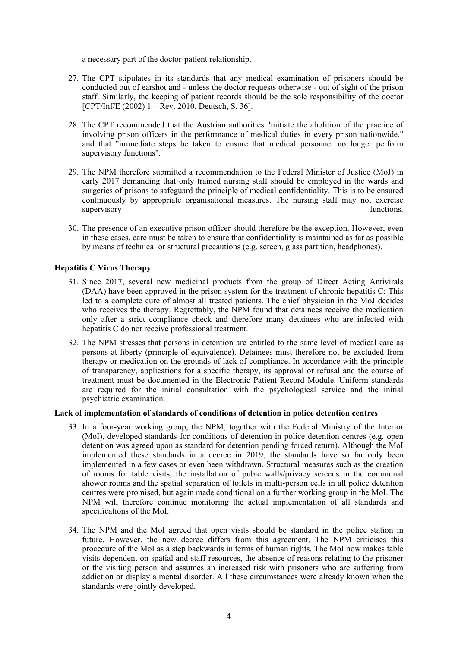<sup>a</sup> necessary par<sup>t</sup> of the doctor-patient relationship.

- 27. The CPT stipulates in its standards that any medical examination of prisoners should be conducted out of earshot and - unless the doctor requests otherwise - out of sight of the prison staff. Similarly, the keeping of patient records should be the sole responsibility of the doctor  $[CPT/Inf/E (2002) 1 - Rev. 2010, Deutsche S. 36].$
- 28. The CPT recommended that the Austrian authorities "initiate the abolition of the practice of involving prison officers in the performance of medical duties in every prison nationwide." and that "immediate steps be taken to ensure that medical personnel no longer perform supervisory functions".
- 29. The NPM therefore submitted <sup>a</sup> recommendation to the Federal Minister of Justice (MoJ) in early 2017 demanding that only trained nursing staff should be employed in the wards and surgeries of prisons to safeguard the principle of medical confidentiality. This is to be ensured continuously by appropriate organisational measures. The nursing staff may not exercise supervisory functions.
- 30. The presence of an executive prison officer should therefore be the exception. However, even in these cases, care must be taken to ensure that confidentiality is maintained as far as possible by means of technical or structural precautions (e.g. screen, glass partition, headphones).

## **Hepatitis C Virus Therapy**

- 31. Since 2017, several new medicinal products from the group of Direct Acting Antivirals (DAA) have been approved in the prison system for the treatment of chronic hepatitis C; This led to <sup>a</sup> complete cure of almost all treated patients. The chief physician in the MoJ decides who receives the therapy. Regrettably, the NPM found that detainees receive the medication only after <sup>a</sup> strict compliance check and therefore many detainees who are infected with hepatitis C do not receive professional treatment.
- 32. The NPM stresses that persons in detention are entitled to the same level of medical care as persons at liberty (principle of equivalence). Detainees must therefore not be excluded from therapy or medication on the grounds of lack of compliance. In accordance with the principle of transparency, applications for <sup>a</sup> specific therapy, its approval or refusal and the course of treatment must be documented in the Electronic Patient Record Module. Uniform standards are required for the initial consultation with the psychological service and the initial psychiatric examination.

# **Lack of implementation of standards of conditions of detention in police detention centres**

- 33. In <sup>a</sup> four-year working group, the NPM, together with the Federal Ministry of the Interior (MoI), developed standards for conditions of detention in police detention centres (e.g. open detention was agreed upon as standard for detention pending forced return). Although the MoI implemented these standards in <sup>a</sup> decree in 2019, the standards have so far only been implemented in <sup>a</sup> few cases or even been withdrawn. Structural measures such as the creation of rooms for table visits, the installation of pubic walls/privacy screens in the communal shower rooms and the spatial separation of toilets in multi-person cells in all police detention centres were promised, but again made conditional on <sup>a</sup> further working group in the MoI. The NPM will therefore continue monitoring the actual implementation of all standards and specifications of the MoI.
- 34. The NPM and the MoI agreed that open visits should be standard in the police station in future. However, the new decree differs from this agreement. The NPM criticises this procedure of the MoI as <sup>a</sup> step backwards in terms of human rights. The MoI now makes table visits dependent on spatial and staff resources, the absence of reasons relating to the prisoner or the visiting person and assumes an increased risk with prisoners who are suffering from addiction or display <sup>a</sup> mental disorder. All these circumstances were already known when the standards were jointly developed.